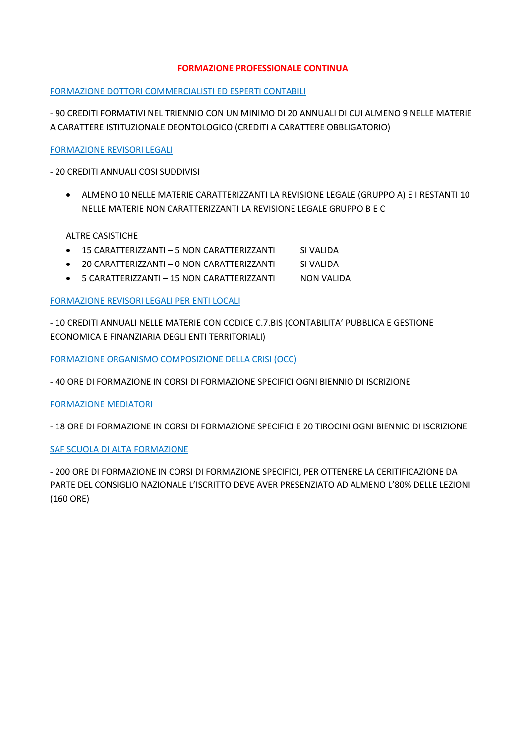### **FORMAZIONE PROFESSIONALE CONTINUA**

#### FORMAZIONE DOTTORI COMMERCIALISTI ED ESPERTI CONTABILI

- 90 CREDITI FORMATIVI NEL TRIENNIO CON UN MINIMO DI 20 ANNUALI DI CUI ALMENO 9 NELLE MATERIE A CARATTERE ISTITUZIONALE DEONTOLOGICO (CREDITI A CARATTERE OBBLIGATORIO)

FORMAZIONE REVISORI LEGALI

- 20 CREDITI ANNUALI COSI SUDDIVISI

 ALMENO 10 NELLE MATERIE CARATTERIZZANTI LA REVISIONE LEGALE (GRUPPO A) E I RESTANTI 10 NELLE MATERIE NON CARATTERIZZANTI LA REVISIONE LEGALE GRUPPO B E C

ALTRE CASISTICHE

- 15 CARATTERIZZANTI 5 NON CARATTERIZZANTI SI VALIDA
- 20 CARATTERIZZANTI 0 NON CARATTERIZZANTI SI VALIDA
- 5 CARATTERIZZANTI 15 NON CARATTERIZZANTI NON VALIDA

FORMAZIONE REVISORI LEGALI PER ENTI LOCALI

- 10 CREDITI ANNUALI NELLE MATERIE CON CODICE C.7.BIS (CONTABILITA' PUBBLICA E GESTIONE ECONOMICA E FINANZIARIA DEGLI ENTI TERRITORIALI)

FORMAZIONE ORGANISMO COMPOSIZIONE DELLA CRISI (OCC)

- 40 ORE DI FORMAZIONE IN CORSI DI FORMAZIONE SPECIFICI OGNI BIENNIO DI ISCRIZIONE

FORMAZIONE MEDIATORI

- 18 ORE DI FORMAZIONE IN CORSI DI FORMAZIONE SPECIFICI E 20 TIROCINI OGNI BIENNIO DI ISCRIZIONE

## SAF SCUOLA DI ALTA FORMAZIONE

- 200 ORE DI FORMAZIONE IN CORSI DI FORMAZIONE SPECIFICI, PER OTTENERE LA CERITIFICAZIONE DA PARTE DEL CONSIGLIO NAZIONALE L'ISCRITTO DEVE AVER PRESENZIATO AD ALMENO L'80% DELLE LEZIONI (160 ORE)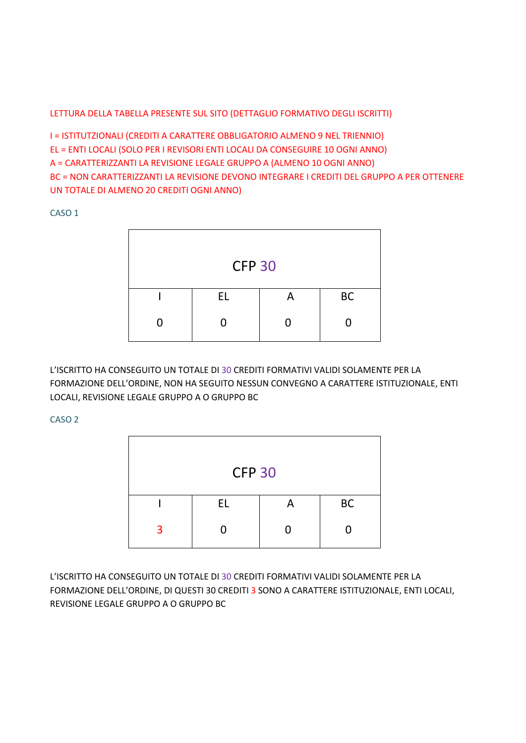# LETTURA DELLA TABELLA PRESENTE SUL SITO (DETTAGLIO FORMATIVO DEGLI ISCRITTI)

I = ISTITUTZIONALI (CREDITI A CARATTERE OBBLIGATORIO ALMENO 9 NEL TRIENNIO) EL = ENTI LOCALI (SOLO PER I REVISORI ENTI LOCALI DA CONSEGUIRE 10 OGNI ANNO) A = CARATTERIZZANTI LA REVISIONE LEGALE GRUPPO A (ALMENO 10 OGNI ANNO) BC = NON CARATTERIZZANTI LA REVISIONE DEVONO INTEGRARE I CREDITI DEL GRUPPO A PER OTTENERE UN TOTALE DI ALMENO 20 CREDITI OGNI ANNO)

CASO 1



L'ISCRITTO HA CONSEGUITO UN TOTALE DI 30 CREDITI FORMATIVI VALIDI SOLAMENTE PER LA FORMAZIONE DELL'ORDINE, NON HA SEGUITO NESSUN CONVEGNO A CARATTERE ISTITUZIONALE, ENTI LOCALI, REVISIONE LEGALE GRUPPO A O GRUPPO BC

CASO 2

| <b>CFP 30</b> |    |   |           |  |  |
|---------------|----|---|-----------|--|--|
|               | EL | A | <b>BC</b> |  |  |
| з             | ⋂  |   |           |  |  |

L'ISCRITTO HA CONSEGUITO UN TOTALE DI 30 CREDITI FORMATIVI VALIDI SOLAMENTE PER LA FORMAZIONE DELL'ORDINE, DI QUESTI 30 CREDITI 3 SONO A CARATTERE ISTITUZIONALE, ENTI LOCALI, REVISIONE LEGALE GRUPPO A O GRUPPO BC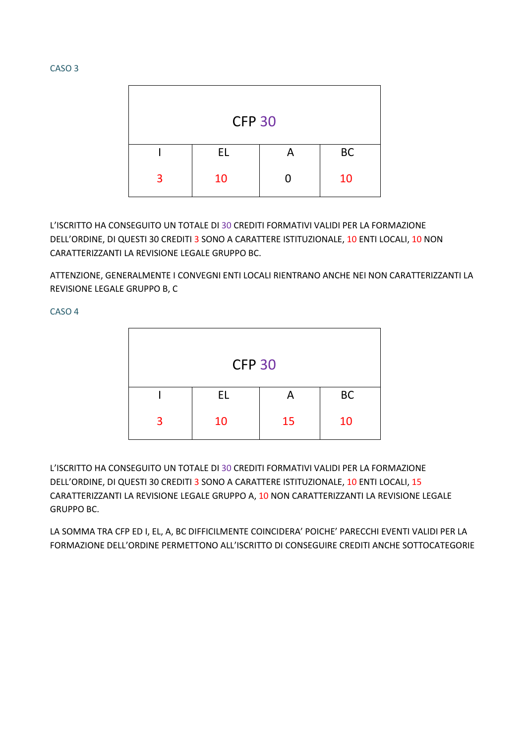| <b>CFP 30</b> |     |   |           |  |  |
|---------------|-----|---|-----------|--|--|
|               |     |   |           |  |  |
|               | EL. | А | <b>BC</b> |  |  |
| 3             | 10  | O | 10        |  |  |

L'ISCRITTO HA CONSEGUITO UN TOTALE DI 30 CREDITI FORMATIVI VALIDI PER LA FORMAZIONE DELL'ORDINE, DI QUESTI 30 CREDITI 3 SONO A CARATTERE ISTITUZIONALE, 10 ENTI LOCALI, 10 NON CARATTERIZZANTI LA REVISIONE LEGALE GRUPPO BC.

ATTENZIONE, GENERALMENTE I CONVEGNI ENTI LOCALI RIENTRANO ANCHE NEI NON CARATTERIZZANTI LA REVISIONE LEGALE GRUPPO B, C

CASO 4

| <b>CFP 30</b> |           |    |           |  |  |  |
|---------------|-----------|----|-----------|--|--|--|
|               | <b>EL</b> | A  | <b>BC</b> |  |  |  |
| 3             | 10        | 15 | 10        |  |  |  |

L'ISCRITTO HA CONSEGUITO UN TOTALE DI 30 CREDITI FORMATIVI VALIDI PER LA FORMAZIONE DELL'ORDINE, DI QUESTI 30 CREDITI 3 SONO A CARATTERE ISTITUZIONALE, 10 ENTI LOCALI, 15 CARATTERIZZANTI LA REVISIONE LEGALE GRUPPO A, 10 NON CARATTERIZZANTI LA REVISIONE LEGALE GRUPPO BC.

LA SOMMA TRA CFP ED I, EL, A, BC DIFFICILMENTE COINCIDERA' POICHE' PARECCHI EVENTI VALIDI PER LA FORMAZIONE DELL'ORDINE PERMETTONO ALL'ISCRITTO DI CONSEGUIRE CREDITI ANCHE SOTTOCATEGORIE